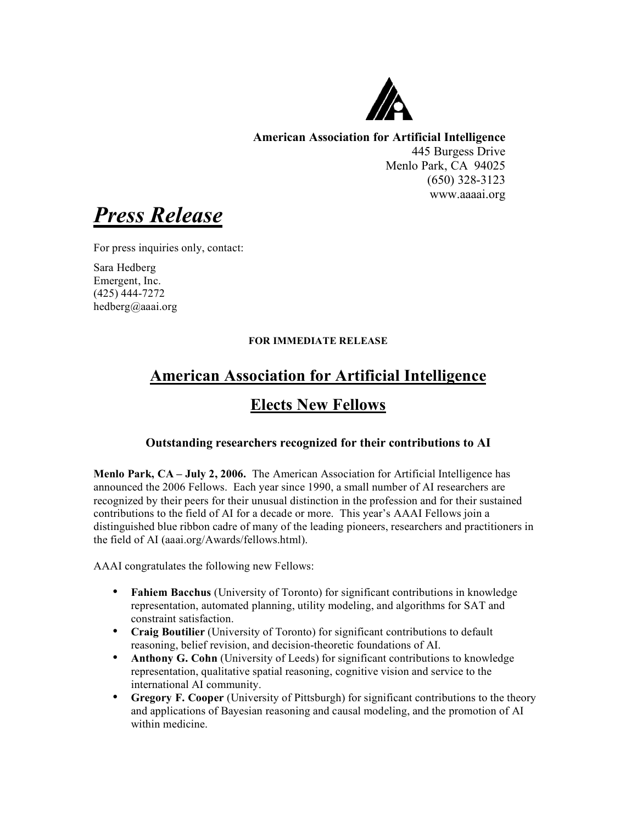

**American Association for Artificial Intelligence** 445 Burgess Drive Menlo Park, CA 94025 (650) 328-3123 www.aaaai.org

*Press Release*

For press inquiries only, contact:

Sara Hedberg Emergent, Inc. (425) 444-7272 hedberg@aaai.org

## **FOR IMMEDIATE RELEASE**

## **American Association for Artificial Intelligence Elects New Fellows**

## **Outstanding researchers recognized for their contributions to AI**

**Menlo Park, CA – July 2, 2006.** The American Association for Artificial Intelligence has announced the 2006 Fellows. Each year since 1990, a small number of AI researchers are recognized by their peers for their unusual distinction in the profession and for their sustained contributions to the field of AI for a decade or more. This year's AAAI Fellows join a distinguished blue ribbon cadre of many of the leading pioneers, researchers and practitioners in the field of AI (aaai.org/Awards/fellows.html).

AAAI congratulates the following new Fellows:

- **Fahiem Bacchus** (University of Toronto) for significant contributions in knowledge representation, automated planning, utility modeling, and algorithms for SAT and constraint satisfaction.
- **Craig Boutilier** (University of Toronto) for significant contributions to default reasoning, belief revision, and decision-theoretic foundations of AI.
- **Anthony G. Cohn** (University of Leeds) for significant contributions to knowledge representation, qualitative spatial reasoning, cognitive vision and service to the international AI community.
- **Gregory F. Cooper** (University of Pittsburgh) for significant contributions to the theory and applications of Bayesian reasoning and causal modeling, and the promotion of AI within medicine.